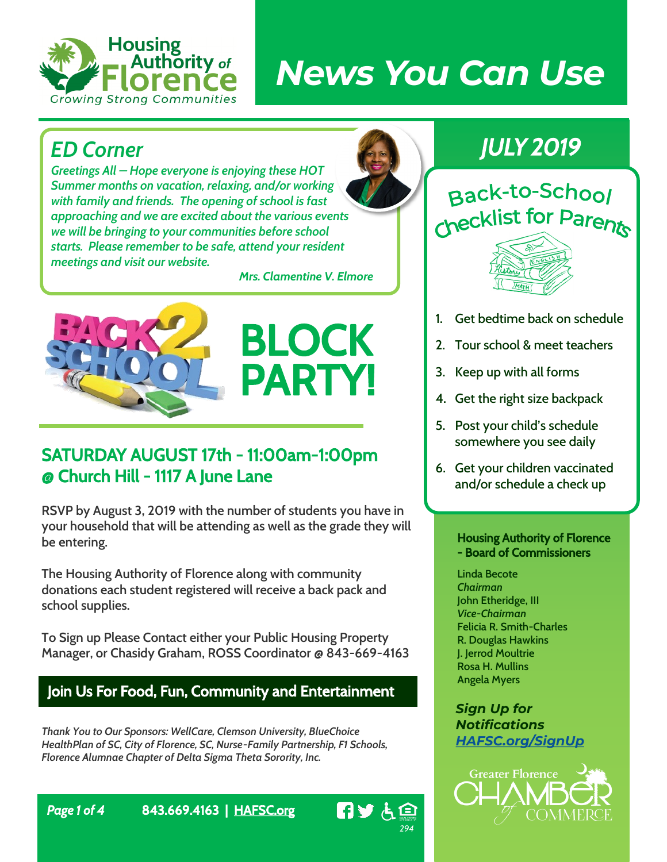

# *News You Can Use*

# *ED Corner*

*Greetings All – Hope everyone is enjoying these HOT Summer months on vacation, relaxing, and/or working with family and friends. The opening of school is fast approaching and we are excited about the various events we will be bringing to your communities before school starts. Please remember to be safe, attend your resident meetings and visit our website.*

*Mrs. Clamentine V. Elmore*



## SATURDAY AUGUST 17th - 11:00am-1:00pm @ Church Hill - 1117 A June Lane

**RSVP by August 3, 2019 with the number of students you have in your household that will be attending as well as the grade they will be entering.**

**The Housing Authority of Florence along with community donations each student registered will receive a back pack and school supplies.**

**To Sign up Please Contact either your Public Housing Property Manager, or Chasidy Graham, ROSS Coordinator @ 843-669-4163**

#### Join Us For Food, Fun, Community and Entertainment

*Thank You to Our Sponsors: WellCare, Clemson University, BlueChoice HealthPlan of SC, City of Florence, SC, Nurse-Family Partnership, F1 Schools, Florence Alumnae Chapter of Delta Sigma Theta Sorority, Inc.*

*Page 1 of 4* 843.669.4163 | [HAFSC.org](https://www.hafsc.org/news)



# *JULY 2019*





- 1. Get bedtime back on schedule
- 2. Tour school & meet teachers
- 3. Keep up with all forms
- 4. Get the right size backpack
- 5. Post your child's schedule somewhere you see daily
- 6. Get your children vaccinated and/or schedule a check up

#### Housing Authority of Florence - Board of Commissioners

**Linda Becote** *Chairman* **John Etheridge, III** *Vice-Chairman* **Felicia R. Smith-Charles R. Douglas Hawkins J. Jerrod Moultrie Rosa H. Mullins Angela Myers**

*Sign Up for Notifications [HAFSC.org/SignUp](https://www.hafsc.org/SignUp)*

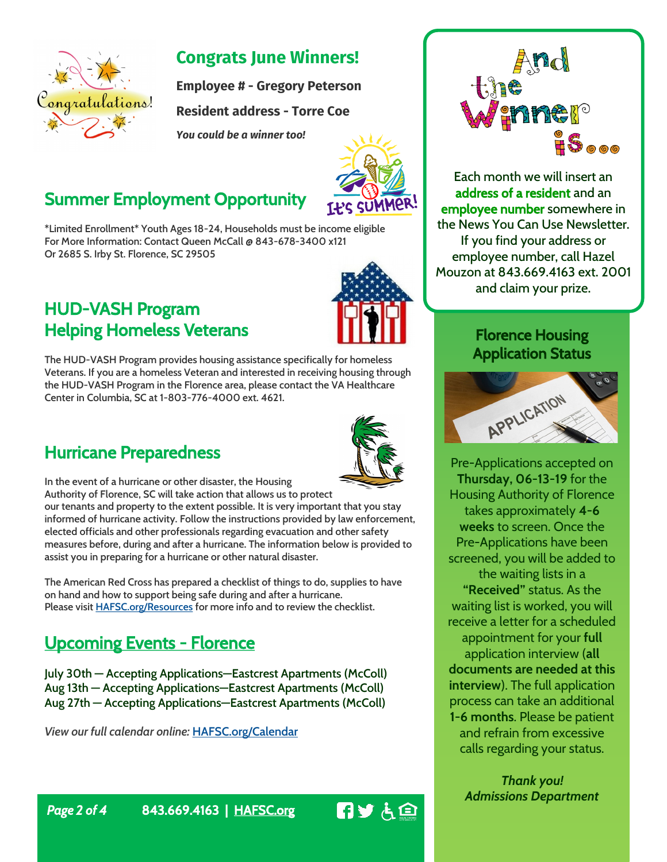

#### **Congrats June Winners!**

**Employee # - Gregory Peterson**

**Resident address - Torre Coe**

*You could be a winner too!*



## Summer Employment Opportunity

**\*Limited Enrollment\* Youth Ages 18-24, Households must be income eligible For More Information: Contact Queen McCall @ 843-678-3400 x121 Or 2685 S. Irby St. Florence, SC 29505**

## HUD-VASH Program Helping Homeless Veterans



**The HUD-VASH Program provides housing assistance specifically for homeless Veterans. If you are a homeless Veteran and interested in receiving housing through the HUD-VASH Program in the Florence area, please contact the VA Healthcare Center in Columbia, SC at 1-803-776-4000 ext. 4621.** 

## Hurricane Preparedness



**In the event of a hurricane or other disaster, the Housing Authority of Florence, SC will take action that allows us to protect** 

**our tenants and property to the extent possible. It is very important that you stay informed of hurricane activity. Follow the instructions provided by law enforcement, elected officials and other professionals regarding evacuation and other safety measures before, during and after a hurricane. The information below is provided to assist you in preparing for a hurricane or other natural disaster.** 

**The American Red Cross has prepared a checklist of things to do, supplies to have on hand and how to support being safe during and after a hurricane. Please visit [HAFSC.org/Resources](https://www.hafsc.org/resources) for more info and to review the checklist.**

## Upcoming Events - Florence

**July 30th — Accepting Applications—Eastcrest Apartments (McColl) Aug 13th — Accepting Applications—Eastcrest Apartments (McColl) Aug 27th — Accepting Applications—Eastcrest Apartments (McColl)**

*View our full calendar online:* **[HAFSC.org/Calendar](https://www.hafsc.org/calendar)**



Each month we will insert an address of a resident and an employee number somewhere in the News You Can Use Newsletter. If you find your address or employee number, call Hazel Mouzon at 843.669.4163 ext. 2001 and claim your prize.

#### Florence Housing Application Status



Pre-Applications accepted on **Thursday, 06-13-19** for the Housing Authority of Florence takes approximately **4-6 weeks** to screen. Once the Pre-Applications have been screened, you will be added to the waiting lists in a **"Received"** status. As the waiting list is worked, you will receive a letter for a scheduled appointment for your **full**  application interview (**all documents are needed at this interview**). The full application process can take an additional **1-6 months**. Please be patient and refrain from excessive calls regarding your status.

*Thank you! Admissions Department*

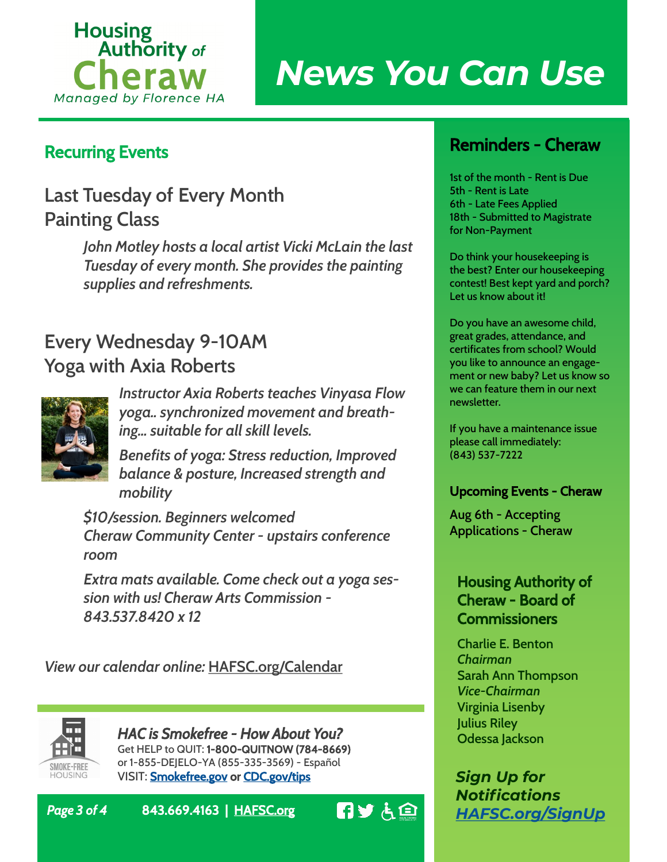

# *News You Can Use*

### Recurring Events

## **Last Tuesday of Every Month Painting Class**

*John Motley hosts a local artist Vicki McLain the last Tuesday of every month. She provides the painting supplies and refreshments.* 

## **Every Wednesday 9-10AM Yoga with Axia Roberts**



*Instructor Axia Roberts teaches Vinyasa Flow yoga.. synchronized movement and breathing... suitable for all skill levels.*

*Benefits of yoga: Stress reduction, Improved balance & posture, Increased strength and mobility*

*\$10/session. Beginners welcomed Cheraw Community Center - upstairs conference room*

*Extra mats available. Come check out a yoga session with us! Cheraw Arts Commission - 843.537.8420 x 12*

*View our calendar online:* **HAFSC.org/Calendar**



*HAC is Smokefree - How About You?* Get HELP to QUIT: 1-800-QUITNOW (784-8669) or 1-855-DEJELO-YA (855-335-3569) - Español VISIT: **[Smokefree.gov](https://smokefree.gov/) or [CDC.gov/tips](https://www.cdc.gov/tobacco/campaign/tips/index.html)** 

*Page 3 of 4* 843.669.4163 | [HAFSC.org](https://www.hafsc.org/)

日ンも国

#### Reminders - Cheraw

1st of the month - Rent is Due 5th - Rent is Late 6th - Late Fees Applied 18th - Submitted to Magistrate for Non-Payment

Do think your housekeeping is the best? Enter our housekeeping contest! Best kept yard and porch? Let us know about it!

Do you have an awesome child, great grades, attendance, and certificates from school? Would you like to announce an engagement or new baby? Let us know so we can feature them in our next newsletter.

If you have a maintenance issue please call immediately: (843) 537-7222

#### Upcoming Events - Cheraw

**Aug 6th - Accepting Applications - Cheraw**

#### Housing Authority of Cheraw - Board of **Commissioners**

**Charlie E. Benton** *Chairman* **Sarah Ann Thompson** *Vice-Chairman* **Virginia Lisenby Julius Riley Odessa Jackson**

*Sign Up for Notifications [HAFSC.org/SignUp](https://www.hafsc.org/signup)*